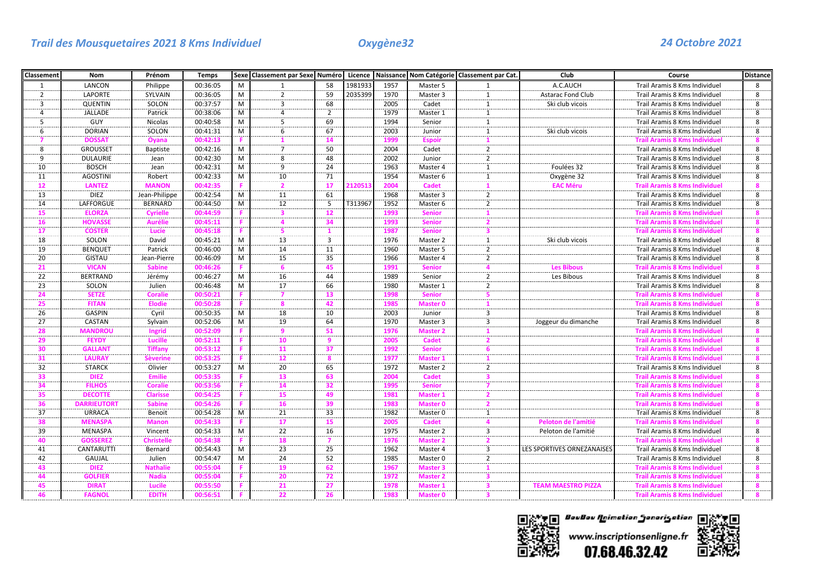| <b>Classement</b> | Nom                | Prénom          | <b>Temps</b> |   | Sexe Classement par Sexe Numéro Licence Naissance Nom Catégorie Classement par Cat. |                |         |      |                     |                                          | Club                       | Course                               | <b>Distance</b> |
|-------------------|--------------------|-----------------|--------------|---|-------------------------------------------------------------------------------------|----------------|---------|------|---------------------|------------------------------------------|----------------------------|--------------------------------------|-----------------|
| 1                 | LANCON             | Philippe        | 00:36:05     | M |                                                                                     | 58             | 1981933 | 1957 | Master 5            | 1                                        | A.C.AUCH                   | Trail Aramis 8 Kms Individuel        | 8               |
| $\overline{2}$    | <b>LAPORTE</b>     | SYLVAIN         | 00:36:05     | M | $\mathcal{P}$                                                                       | 59             | 2035399 | 1970 | Master 3            | 1                                        | Astarac Fond Club          | Trail Aramis 8 Kms Individuel        | 8               |
| 3                 | <b>QUENTIN</b>     | SOLON           | 00:37:57     | M | 3                                                                                   | 68             |         | 2005 | Cadet               | 1                                        | Ski club vicois            | Trail Aramis 8 Kms Individuel        | 8               |
| $\overline{a}$    | <b>JALLADE</b>     | Patrick         | 00:38:06     | M | 4                                                                                   | $\overline{2}$ |         | 1979 | Master 1            | $\mathbf{1}$                             |                            | Trail Aramis 8 Kms Individuel        | 8               |
| $\overline{5}$    | GUY                | Nicolas         | 00:40:58     | M | 5                                                                                   | 69             |         | 1994 | Senior              | $\mathbf{1}$                             |                            | Trail Aramis 8 Kms Individuel        | 8               |
| 6                 | <b>DORIAN</b>      | SOLON           | 00:41:31     | M | 6                                                                                   | 67             |         | 2003 | Junior              | $\mathbf{1}$                             | Ski club vicois            | Trail Aramis 8 Kms Individuel        | 8               |
|                   | <b>DOSSA1</b>      | Oyana           | 00:42:13     |   |                                                                                     | 14             |         | 1999 | <b>Espoir</b>       |                                          |                            | <b>Trail Aramis 8 Kms Individuel</b> |                 |
| 8                 | <b>GROUSSET</b>    | Baptiste        | 00:42:16     | M |                                                                                     | 50             |         | 2004 | Cadet               | $\frac{1}{2}$                            |                            | Trail Aramis 8 Kms Individuel        | 8               |
| 9                 | <b>DULAURIE</b>    | Jean            | 00:42:30     | M | 8                                                                                   | 48             |         | 2002 | Junior              | $\overline{2}$                           |                            | Trail Aramis 8 Kms Individuel        | 8               |
| 10                | <b>BOSCH</b>       | Jean            | 00:42:31     | M | 9                                                                                   | 24             |         | 1963 | Master 4            | 1                                        | Foulées 32                 | Trail Aramis 8 Kms Individuel        | 8               |
| 11                | <b>AGOSTINI</b>    | Robert          | 00:42:33     | M | 10                                                                                  | 71             |         | 1954 | Master 6            | $\mathbf{1}$                             | Oxygène 32                 | Trail Aramis 8 Kms Individuel        | 8               |
| 12                | <b>LANTEZ</b>      | <b>MANON</b>    | 00:42:35     |   |                                                                                     | 17             | 21205:  | 2004 | <b>Cadet</b>        | $\mathbf{1}$                             | <b>EAC Méru</b>            | <b>Trail Aramis 8 Kms Individuel</b> | 8               |
| 13                | <b>DIEZ</b>        | Jean-Philippe   | 00:42:54     | M | 11                                                                                  | 61             |         | 1968 | Master 3            | $\frac{1}{2}$                            |                            | Trail Aramis 8 Kms Individuel        | $\overline{8}$  |
| 14                | LAFFORGUE          | <b>BERNARD</b>  | 00:44:50     | M | 12                                                                                  | 5              | T313967 | 1952 | Master 6            | $\overline{2}$                           |                            | Trail Aramis 8 Kms Individuel        | 8               |
| 15                | <b>ELORZA</b>      | <b>Cyrielle</b> | 00:44:59     |   |                                                                                     | -12            |         | 1993 | <b>Senior</b>       |                                          |                            | <b>Trail Aramis 8 Kms Individuel</b> |                 |
| 16                | <b>HOVASSI</b>     | Aurélie         | 00:45:11     |   |                                                                                     | -34            |         | 1993 | <b>Senior</b>       | 2                                        |                            | <b>Trail Aramis 8 Kms Individuel</b> | я               |
| 17                | <b>COSTER</b>      | Lucie           | 00:45:18     |   |                                                                                     |                |         | 1987 | <b>Senior</b>       | 3                                        |                            | <b>Trail Aramis 8 Kms Individuel</b> | R               |
| 18                | SOLON              | David           | 00:45:21     | M | 13                                                                                  | $\overline{3}$ |         | 1976 | Master 2            | $\mathbf{1}$                             | Ski club vicois            | Trail Aramis 8 Kms Individuel        | 8               |
| 19                | <b>BENQUET</b>     | Patrick         | 00:46:00     | M | 14                                                                                  | 11             |         | 1960 | Master 5            | $\overline{2}$                           |                            | Trail Aramis 8 Kms Individuel        | 8               |
| 20                | GISTAU             | Jean-Pierre     | 00:46:09     | M | 15                                                                                  | 35             |         | 1966 | Master 4            | $\overline{2}$                           |                            | Trail Aramis 8 Kms Individuel        | 8               |
| 21                | <b>VICAN</b>       | <b>Sabine</b>   | 00:46:26     |   |                                                                                     | -45            |         | 1991 | <b>Senior</b>       | Δ                                        | <b>Les Bibous</b>          | <b>Trail Aramis 8 Kms Individuel</b> | я               |
| 22                | <b>BERTRAND</b>    | Jérémy          | 00:46:27     | M | 16                                                                                  | 44             |         | 1989 | Senior              | $\overline{2}$                           | Les Bibous                 | Trail Aramis 8 Kms Individuel        | 8               |
| 23                | SOLON              | Julien          | 00:46:48     | M | 17                                                                                  | 66             |         | 1980 | Master 1            | $\overline{2}$                           |                            | Trail Aramis 8 Kms Individuel        | 8               |
| 24                | <b>SETZE</b>       | <b>Coralie</b>  | 00:50:21     |   |                                                                                     | 13             |         | 1998 | <b>Senior</b>       | 5                                        |                            | <b>Trail Aramis 8 Kms Individuel</b> | 8               |
| 25                | <b>FITAN</b>       | <b>Elodie</b>   | 00:50:28     |   |                                                                                     | 42             |         | 1985 | <b>Master 0</b>     |                                          |                            | <b>Trail Aramis 8 Kms Individuel</b> | $\mathbf{R}$    |
| 26                | <b>GASPIN</b>      | Cyril           | 00:50:35     | M | 18                                                                                  | 10             |         | 2003 | Junior              | 3                                        |                            | Trail Aramis 8 Kms Individuel        | 8               |
| 27                | CASTAN             | Sylvain         | 00:52:06     | M | 19                                                                                  | 64             |         | 1970 | Master 3            | 3                                        | Joggeur du dimanche        | Trail Aramis 8 Kms Individuel        | 8               |
| 28                | <b>MANDROU</b>     | Ingrid          | 00:52:09     |   |                                                                                     | 51             |         | 1976 | <b>Master 2</b>     |                                          |                            | <b>Trail Aramis 8 Kms Individuel</b> | 8               |
| 29                | <b>FEYDY</b>       | <b>Lucille</b>  | 00:52:11     |   | 10                                                                                  | q              |         | 2005 | <b>Cadet</b>        | $\overline{\mathbf{2}}$                  |                            | <b>Trail Aramis 8 Kms Individuel</b> | 8               |
| 30                | <b>GALLANT</b>     | <b>Tiffany</b>  | 00:53:12     |   | 11                                                                                  | 37             |         | 1992 | <b>Senior</b>       | 6                                        |                            | <b>Trail Aramis 8 Kms Individuel</b> | 8               |
| 31                | <b>LAURAY</b>      | ièverine        | 00:53:25     |   | 12                                                                                  | 8              |         | 1977 | <b>Master 1</b>     | 1                                        |                            | <b>Trail Aramis 8 Kms Individuel</b> |                 |
| 32                | <b>STARCK</b>      | Olivier         | 00:53:27     | M | 20                                                                                  | 65             |         | 1972 | Master 2            | $\overline{2}$                           |                            | Trail Aramis 8 Kms Individuel        | 8               |
| 33                | <b>DIEZ</b>        | <b>Emilie</b>   | 00:53:35     |   | 13                                                                                  | 63             |         | 2004 | <b>Cadet</b>        | $\overline{\mathbf{3}}$                  |                            | <b>Trail Aramis 8 Kms Individuel</b> | 8               |
| 34                | <b>FILHOS</b>      | <b>Coralie</b>  | 00:53:56     |   | 14                                                                                  | -32            |         | 1995 | <b>Senior</b>       | 7<br>.                                   |                            | <b>Trail Aramis 8 Kms Individuel</b> |                 |
| $\frac{1}{35}$    | <b>DECOTTE</b>     | Clarisse        | 00:54:25     |   | 15                                                                                  | 49             |         | 1981 | Master 1            |                                          |                            | <b>Trail Aramis 8 Kms Individuel</b> |                 |
| 36                | <b>DARRIEUTORT</b> | <b>Sabine</b>   | 00:54:26     |   | 16                                                                                  | 39             |         | 1983 | Master <sub>0</sub> | $\overline{\mathbf{2}}$<br>. <del></del> |                            | <b>Trail Aramis 8 Kms Individuel</b> | $\mathbf{R}$    |
| $\frac{1}{37}$    | <b>URRACA</b>      | Benoit          | 00:54:28     | M | 21                                                                                  | 33             |         | 1982 | Master 0            | 1                                        |                            | Trail Aramis 8 Kms Individuel        | $\overline{8}$  |
| 38                | <b>MENASPA</b>     | <b>Manon</b>    | 00:54:33     |   | 17                                                                                  | 15             |         | 2005 | <b>Cadet</b>        | $\Delta$                                 | Peloton de l'amitié        | <b>Trail Aramis 8 Kms Individuel</b> | 8               |
| 39                | <b>MENASPA</b>     | Vincent         | 00:54:33     | M | 22                                                                                  | 16             |         | 1975 | Master 2            | $\frac{3}{2}$                            | Peloton de l'amitié        | Trail Aramis 8 Kms Individuel        | 8               |
| 40                | <b>GOSSEREZ</b>    | Christelle      | 00:54:38     |   | 18                                                                                  |                |         | 1976 | <b>Master 2</b>     |                                          |                            | <b>Trail Aramis 8 Kms Individuel</b> |                 |
| 41                | <b>CANTARUTTI</b>  | Bernard         | 00:54:43     | M | 23                                                                                  | 25             |         | 1962 | Master 4            | 3                                        | LES SPORTIVES ORNEZANAISES | Trail Aramis 8 Kms Individuel        | 8               |
| 42                | <b>GAUJAL</b>      | Julien          | 00:54:47     | M | $\overline{24}$                                                                     | 52             |         | 1985 | Master 0            | $\frac{1}{2}$                            |                            | Trail Aramis 8 Kms Individuel        | $\overline{8}$  |
| 43                | <b>DIEZ</b>        | Nathalie        | 00:55:04     |   | 19                                                                                  | -62            |         | 1967 | <b>Master 3</b>     | 1                                        |                            | <b>Trail Aramis 8 Kms Individuel</b> | 8               |
| 44                | <b>GOLFIER</b>     | <b>Nadia</b>    | 00:55:04     |   | 20                                                                                  | 72             |         | 1972 | <b>Master 2</b>     |                                          |                            | <b>Trail Aramis 8 Kms Individuel</b> | 8               |
| 45                | <b>DIRAT</b>       | Lucile          | 00:55:50     |   | 21                                                                                  | -27            |         | 1978 | <b>Master 1</b>     | 3                                        | <b>TEAM MAESTRO PIZZA</b>  | <b>Trail Aramis 8 Kms Individuel</b> | 8               |
| 46                | <b>FAGNOL</b>      | <b>EDITH</b>    | 00:56:51     |   | 22                                                                                  | 26             |         | 1983 | <b>Master 0</b>     |                                          |                            | <b>Trail Aramis 8 Kms Individuel</b> |                 |



П